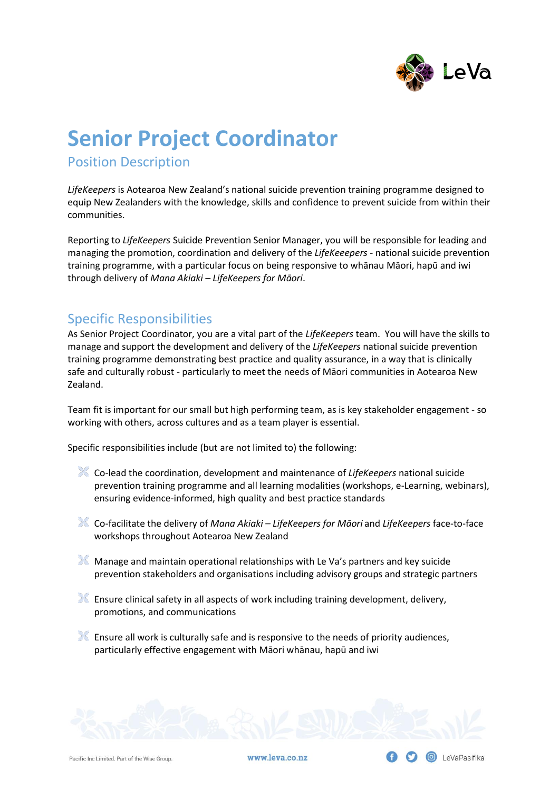

# **Senior Project Coordinator**

Position Description

*LifeKeepers* is Aotearoa New Zealand's national suicide prevention training programme designed to equip New Zealanders with the knowledge, skills and confidence to prevent suicide from within their communities.

Reporting to *LifeKeepers* Suicide Prevention Senior Manager, you will be responsible for leading and managing the promotion, coordination and delivery of the *LifeKeeepers* - national suicide prevention training programme, with a particular focus on being responsive to whānau Māori, hapū and iwi through delivery of *Mana Akiaki – LifeKeepers for Māori*.

# Specific Responsibilities

As Senior Project Coordinator, you are a vital part of the *LifeKeepers* team. You will have the skills to manage and support the development and delivery of the *LifeKeepers* national suicide prevention training programme demonstrating best practice and quality assurance, in a way that is clinically safe and culturally robust - particularly to meet the needs of Māori communities in Aotearoa New Zealand.

Team fit is important for our small but high performing team, as is key stakeholder engagement - so working with others, across cultures and as a team player is essential.

Specific responsibilities include (but are not limited to) the following:

- Co-lead the coordination, development and maintenance of *LifeKeepers* national suicide prevention training programme and all learning modalities (workshops, e-Learning, webinars), ensuring evidence-informed, high quality and best practice standards
- Co-facilitate the delivery of *Mana Akiaki – LifeKeepers for Māori* and *LifeKeepers* face-to-face workshops throughout Aotearoa New Zealand
- $M$  Manage and maintain operational relationships with Le Va's partners and key suicide prevention stakeholders and organisations including advisory groups and strategic partners
- Ensure clinical safety in all aspects of work including training development, delivery, promotions, and communications
- $\blacktriangleright$  Ensure all work is culturally safe and is responsive to the needs of priority audiences, particularly effective engagement with Māori whānau, hapū and iwi



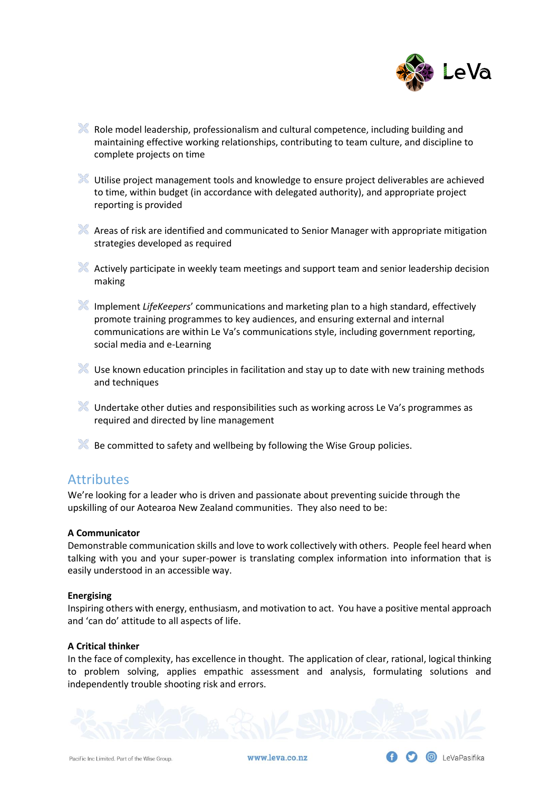

- Role model leadership, professionalism and cultural competence, including building and maintaining effective working relationships, contributing to team culture, and discipline to complete projects on time
- Utilise project management tools and knowledge to ensure project deliverables are achieved to time, within budget (in accordance with delegated authority), and appropriate project reporting is provided
- A Areas of risk are identified and communicated to Senior Manager with appropriate mitigation strategies developed as required
- Actively participate in weekly team meetings and support team and senior leadership decision making
- Implement *LifeKeepers*' communications and marketing plan to a high standard, effectively promote training programmes to key audiences, and ensuring external and internal communications are within Le Va's communications style, including government reporting, social media and e-Learning
- Use known education principles in facilitation and stay up to date with new training methods and techniques
- Undertake other duties and responsibilities such as working across Le Va's programmes as required and directed by line management
- Be committed to safety and wellbeing by following the Wise Group policies.

### **Attributes**

We're looking for a leader who is driven and passionate about preventing suicide through the upskilling of our Aotearoa New Zealand communities. They also need to be:

#### **A Communicator**

Demonstrable communication skills and love to work collectively with others. People feel heard when talking with you and your super-power is translating complex information into information that is easily understood in an accessible way.

#### **Energising**

Inspiring others with energy, enthusiasm, and motivation to act. You have a positive mental approach and 'can do' attitude to all aspects of life.

#### **A Critical thinker**

In the face of complexity, has excellence in thought. The application of clear, rational, logical thinking to problem solving, applies empathic assessment and analysis, formulating solutions and independently trouble shooting risk and errors.